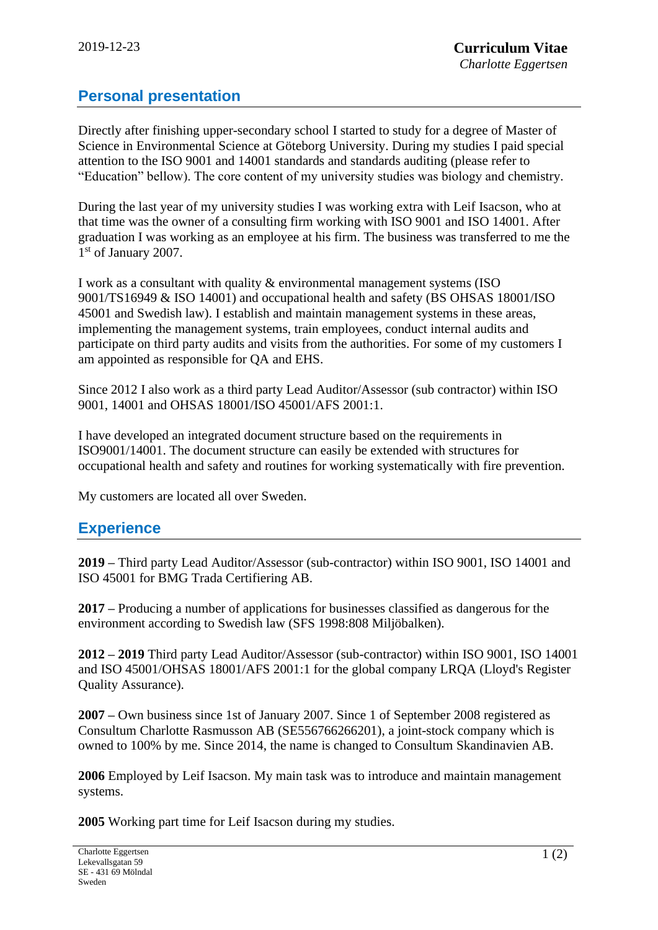# **Personal presentation**

Directly after finishing upper-secondary school I started to study for a degree of Master of Science in Environmental Science at Göteborg University. During my studies I paid special attention to the ISO 9001 and 14001 standards and standards auditing (please refer to "Education" bellow). The core content of my university studies was biology and chemistry.

During the last year of my university studies I was working extra with Leif Isacson, who at that time was the owner of a consulting firm working with ISO 9001 and ISO 14001. After graduation I was working as an employee at his firm. The business was transferred to me the 1<sup>st</sup> of January 2007.

I work as a consultant with quality & environmental management systems (ISO 9001/TS16949 & ISO 14001) and occupational health and safety (BS OHSAS 18001/ISO 45001 and Swedish law). I establish and maintain management systems in these areas, implementing the management systems, train employees, conduct internal audits and participate on third party audits and visits from the authorities. For some of my customers I am appointed as responsible for QA and EHS.

Since 2012 I also work as a third party Lead Auditor/Assessor (sub contractor) within ISO 9001, 14001 and OHSAS 18001/ISO 45001/AFS 2001:1.

I have developed an integrated document structure based on the requirements in ISO9001/14001. The document structure can easily be extended with structures for occupational health and safety and routines for working systematically with fire prevention.

My customers are located all over Sweden.

# **Experience**

**2019 –** Third party Lead Auditor/Assessor (sub-contractor) within ISO 9001, ISO 14001 and ISO 45001 for BMG Trada Certifiering AB.

**2017 –** Producing a number of applications for businesses classified as dangerous for the environment according to Swedish law (SFS 1998:808 Miljöbalken).

**2012 – 2019** Third party Lead Auditor/Assessor (sub-contractor) within ISO 9001, ISO 14001 and ISO 45001/OHSAS 18001/AFS 2001:1 for the global company LRQA (Lloyd's Register Quality Assurance).

**2007 –** Own business since 1st of January 2007. Since 1 of September 2008 registered as Consultum Charlotte Rasmusson AB (SE556766266201), a joint-stock company which is owned to 100% by me. Since 2014, the name is changed to Consultum Skandinavien AB.

**2006** Employed by Leif Isacson. My main task was to introduce and maintain management systems.

**2005** Working part time for Leif Isacson during my studies.